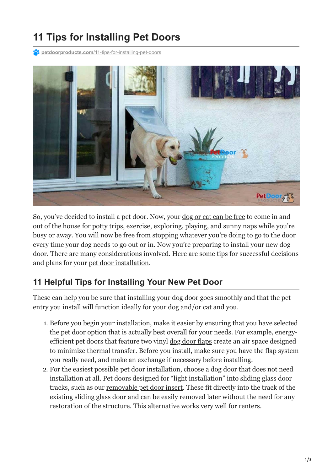## **11 Tips for Installing Pet Doors**

**petdoorproducts.com[/11-tips-for-installing-pet-doors](https://petdoorproducts.com/11-tips-for-installing-pet-doors/)** 



So, you've decided to install a pet door. Now, your <u>[dog or cat can be free](https://petdoorproducts.com/cat-friendly-pet-door-gives-your-kitty-new-freedom/)</u> to come in and out of the house for potty trips, exercise, exploring, playing, and sunny naps while you're busy or away. You will now be free from stopping whatever you're doing to go to the door every time your dog needs to go out or in. Now you're preparing to install your new dog door. There are many considerations involved. Here are some tips for successful decisions and plans for your [pet door installation](https://petdoorproducts.com/how-it-works/).

## **11 Helpful Tips for Installing Your New Pet Door**

These can help you be sure that installing your dog door goes smoothly and that the pet entry you install will function ideally for your dog and/or cat and you.

- 1. Before you begin your installation, make it easier by ensuring that you have selected the pet door option that is actually best overall for your needs. For example, energyefficient pet doors that feature two vinyl [dog door flaps](https://petdoorproducts.com/product/endura-flap-for-pet-doors/) create an air space designed to minimize thermal transfer. Before you install, make sure you have the flap system you really need, and make an exchange if necessary before installing.
- 2. For the easiest possible pet door installation, choose a dog door that does not need installation at all. Pet doors designed for "light installation" into sliding glass door tracks, such as our [removable pet door insert](https://petdoorproducts.com/product/endura-flap-thermo-panel/). These fit directly into the track of the existing sliding glass door and can be easily removed later without the need for any restoration of the structure. This alternative works very well for renters.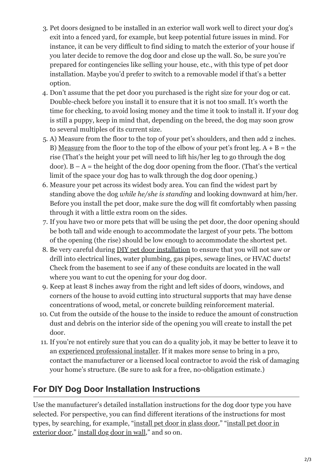- 3. Pet doors designed to be installed in an exterior wall work well to direct your dog's exit into a fenced yard, for example, but keep potential future issues in mind. For instance, it can be very difficult to find siding to match the exterior of your house if you later decide to remove the dog door and close up the wall. So, be sure you're prepared for contingencies like selling your house, etc., with this type of pet door installation. Maybe you'd prefer to switch to a removable model if that's a better option.
- 4. Don't assume that the pet door you purchased is the right size for your dog or cat. Double-check before you install it to ensure that it is not too small. It's worth the time for checking, to avoid losing money and the time it took to install it. If your dog is still a puppy, keep in mind that, depending on the breed, the dog may soon grow to several multiples of its current size.
- 5. A) Measure from the floor to the top of your pet's shoulders, and then add 2 inches. B) [Measure](https://petdoorproducts.com/how-to-measure-your-cat-or-dog-for-a-pet-door/) from the floor to the top of the elbow of your pet's front leg.  $A + B =$  the rise (That's the height your pet will need to lift his/her leg to go through the dog door).  $B - A =$  the height of the dog door opening from the floor. (That's the vertical limit of the space your dog has to walk through the dog door opening.)
- 6. Measure your pet across its widest body area. You can find the widest part by standing above the dog *while he/she is standing* and looking downward at him/her. Before you install the pet door, make sure the dog will fit comfortably when passing through it with a little extra room on the sides.
- 7. If you have two or more pets that will be using the pet door, the door opening should be both tall and wide enough to accommodate the largest of your pets. The bottom of the opening (the rise) should be low enough to accommodate the shortest pet.
- 8. Be very careful during [DIY pet door installation](https://petdoorproducts.com/do-it-yourself/) to ensure that you will not saw or drill into electrical lines, water plumbing, gas pipes, sewage lines, or HVAC ducts! Check from the basement to see if any of these conduits are located in the wall where you want to cut the opening for your dog door.
- 9. Keep at least 8 inches away from the right and left sides of doors, windows, and corners of the house to avoid cutting into structural supports that may have dense concentrations of wood, metal, or concrete building reinforcement material.
- 10. Cut from the outside of the house to the inside to reduce the amount of construction dust and debris on the interior side of the opening you will create to install the pet door.
- 11. If you're not entirely sure that you can do a quality job, it may be better to leave it to an [experienced professional installer.](https://petdoorproducts.com/professional-pet-door-installer-in-utah/) If it makes more sense to bring in a pro, contact the manufacturer or a licensed local contractor to avoid the risk of damaging your home's structure. (Be sure to ask for a free, no-obligation estimate.)

## **For DIY Dog Door Installation Instructions**

Use the manufacturer's detailed installation instructions for the dog door type you have selected. For perspective, you can find different iterations of the instructions for most [types, by searching, for example, "](https://petdoorproducts.com/product/endura-flap-pet-doors-door-mount-v1/)[install pet door in glass door](https://petdoorproducts.com/product/sliding-glass-dog-door/)[," "install pet door in](https://petdoorproducts.com/product/endura-flap-pet-doors-door-mount-v1/) exterior door," [install dog door in wall](https://petdoorproducts.com/product/dog-doors-wall-mount/)," and so on.